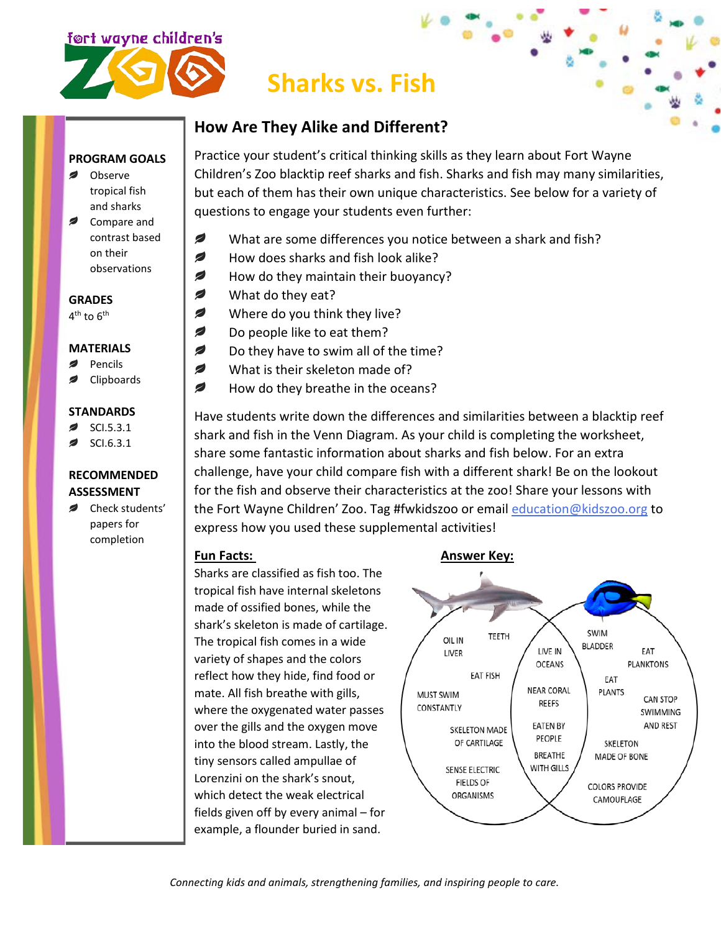

# **Sharks vs. Fish**

## **How Are They Alike and Different?**

#### **PROGRAM GOALS**

- Observe tropical fish and sharks
- $\overline{\phantom{a}}$ Compare and contrast based on their observations

#### **GRADES**  $4<sup>th</sup>$  to  $6<sup>th</sup>$

#### **MATERIALS**

- Pencils
- Clipboards

#### **STANDARDS**

- $\overline{\phantom{a}}$ SCI.5.3.1
- SCI.6.3.1

### **RECOMMENDED ASSESSMENT**

Check students' papers for completion

Practice your student's critical thinking skills as they learn about Fort Wayne Children's Zoo blacktip reef sharks and fish. Sharks and fish may many similarities, but each of them has their own unique characteristics. See below for a variety of questions to engage your students even further:

- Ø What are some differences you notice between a shark and fish?
- Ø How does sharks and fish look alike?
- Ø How do they maintain their buoyancy?
- What do they eat?
- Ø Where do you think they live?
- Ø Do people like to eat them?
- Ø Do they have to swim all of the time?
- Ø What is their skeleton made of?
- $\overline{\phantom{a}}$ How do they breathe in the oceans?

Have students write down the differences and similarities between a blacktip reef shark and fish in the Venn Diagram. As your child is completing the worksheet, share some fantastic information about sharks and fish below. For an extra challenge, have your child compare fish with a different shark! Be on the lookout for the fish and observe their characteristics at the zoo! Share your lessons with the Fort Wayne Children' Zoo. Tag #fwkidszoo or email [education@kidszoo.org](mailto:education@kidszoo.org) to express how you used these supplemental activities!

Sharks are classified as fish too. The tropical fish have internal skeletons made of ossified bones, while the shark's skeleton is made of cartilage. The tropical fish comes in a wide variety of shapes and the colors reflect how they hide, find food or mate. All fish breathe with gills, where the oxygenated water passes over the gills and the oxygen move into the blood stream. Lastly, the tiny sensors called ampullae of Lorenzini on the shark's snout, which detect the weak electrical fields given off by every animal – for example, a flounder buried in sand.

#### **Fun Facts:** Answer Key:



*Connecting kids and animals, strengthening families, and inspiring people to care.*